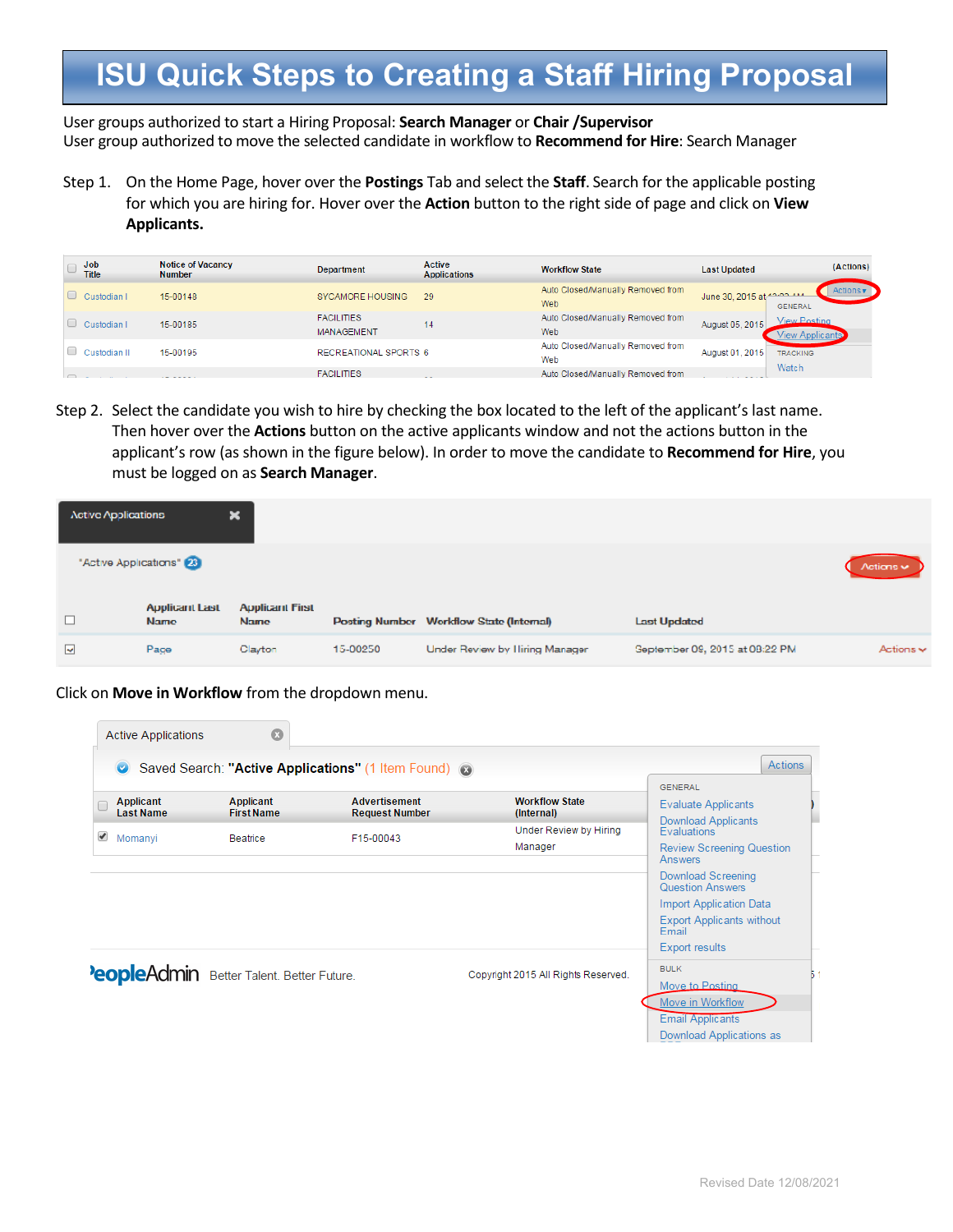User groups authorized to start a Hiring Proposal: **Search Manager** or **Chair /Supervisor** User group authorized to move the selected candidate in workflow to **Recommend for Hire**: Search Manager

Step 1. On the Home Page, hover over the **Postings** Tab and select the **Staff**. Search for the applicable posting for which you are hiring for. Hover over the **Action** button to the right side of page and click on **View Applicants.**

| Job<br><b>Title</b> | <b>Notice of Vacancy</b><br><b>Number</b> | <b>Department</b>                      | <b>Active</b><br><b>Applications</b> | <b>Workflow State</b>                    | <b>Last Updated</b>       | (Actions)       |
|---------------------|-------------------------------------------|----------------------------------------|--------------------------------------|------------------------------------------|---------------------------|-----------------|
| Custodian I         | 15-00148                                  | <b>SYCAMORE HOUSING</b>                | 29                                   | Auto Closed/Manually Removed from<br>Web | June 30, 2015 at 1000 111 | <b>GENERAL</b>  |
| Custodian I         | 15-00185                                  | <b>FACILITIES</b><br><b>MANAGEMENT</b> | 14                                   | Auto Closed/Manually Removed from<br>Web | August 05, 2015           | View Posting    |
| Custodian II        | 15-00195                                  | RECREATIONAL SPORTS 6                  |                                      | Auto Closed/Manually Removed from<br>Web | August 01, 2015           | <b>TRACKING</b> |
|                     | ----                                      | <b>FACILITIES</b>                      | - -                                  | Auto Closed/Manually Removed from        |                           | Watch           |

Step 2. Select the candidate you wish to hire by checking the box located to the left of the applicant's last name. Then hover over the **Actions** button on the active applicants window and not the actions button in the applicant's row (as shown in the figure below). In order to move the candidate to **Recommend for Hire**, you must be logged on as **Search Manager**.

| <b>Active Applications</b> |                                      | ×                                     |          |                                          |                                |                                        |
|----------------------------|--------------------------------------|---------------------------------------|----------|------------------------------------------|--------------------------------|----------------------------------------|
|                            | "Active Applications" 23             |                                       |          |                                          |                                | $\Lambda$ ctions $\blacktriangleright$ |
|                            | <b>Applicant Last</b><br><b>Name</b> | <b>Applicant First</b><br><b>Name</b> |          | Posting Number Workflow State (Internal) | <b>Last Updated</b>            |                                        |
| $\overline{\phantom{a}}$   | Page                                 | Clayton                               | 15-00250 | Under Review by Hiring Manager           | Geptember 09, 2015 at 08:22 PM | $Actions \rightarrow$                  |

Click on **Move in Workflow** from the dropdown menu.

| $\bullet$    |                               |                                                  | Saved Search: "Active Applications" (1 Item Found) 3 |                                     | <b>Actions</b>                                                      |
|--------------|-------------------------------|--------------------------------------------------|------------------------------------------------------|-------------------------------------|---------------------------------------------------------------------|
|              | Applicant<br><b>Last Name</b> | Applicant<br><b>First Name</b>                   | <b>Advertisement</b><br><b>Request Number</b>        | <b>Workflow State</b><br>(Internal) | <b>GENERAL</b><br><b>Evaluate Applicants</b><br>Download Applicants |
| ✔<br>Momanyi |                               | Beatrice                                         | F15-00043                                            | <b>Under Review by Hiring</b>       | <b>Evaluations</b>                                                  |
|              |                               |                                                  |                                                      | Manager                             | <b>Review Screening Question</b><br>Answers                         |
|              |                               |                                                  |                                                      |                                     | Download Screening<br><b>Question Answers</b>                       |
|              |                               |                                                  |                                                      |                                     | <b>Import Application Data</b>                                      |
|              |                               |                                                  |                                                      |                                     | <b>Export Applicants without</b><br>Email                           |
|              |                               |                                                  |                                                      |                                     | <b>Export results</b>                                               |
|              |                               | <b>PeopleAdmin</b> Better Talent. Better Future. |                                                      | Copyright 2015 All Rights Reserved. | <b>BULK</b>                                                         |
|              |                               |                                                  |                                                      |                                     | Move to Posting                                                     |
|              |                               |                                                  |                                                      |                                     | Move in Workflow                                                    |
|              |                               |                                                  |                                                      |                                     | <b>Email Applicants</b>                                             |
|              |                               |                                                  |                                                      |                                     | Download Applications as                                            |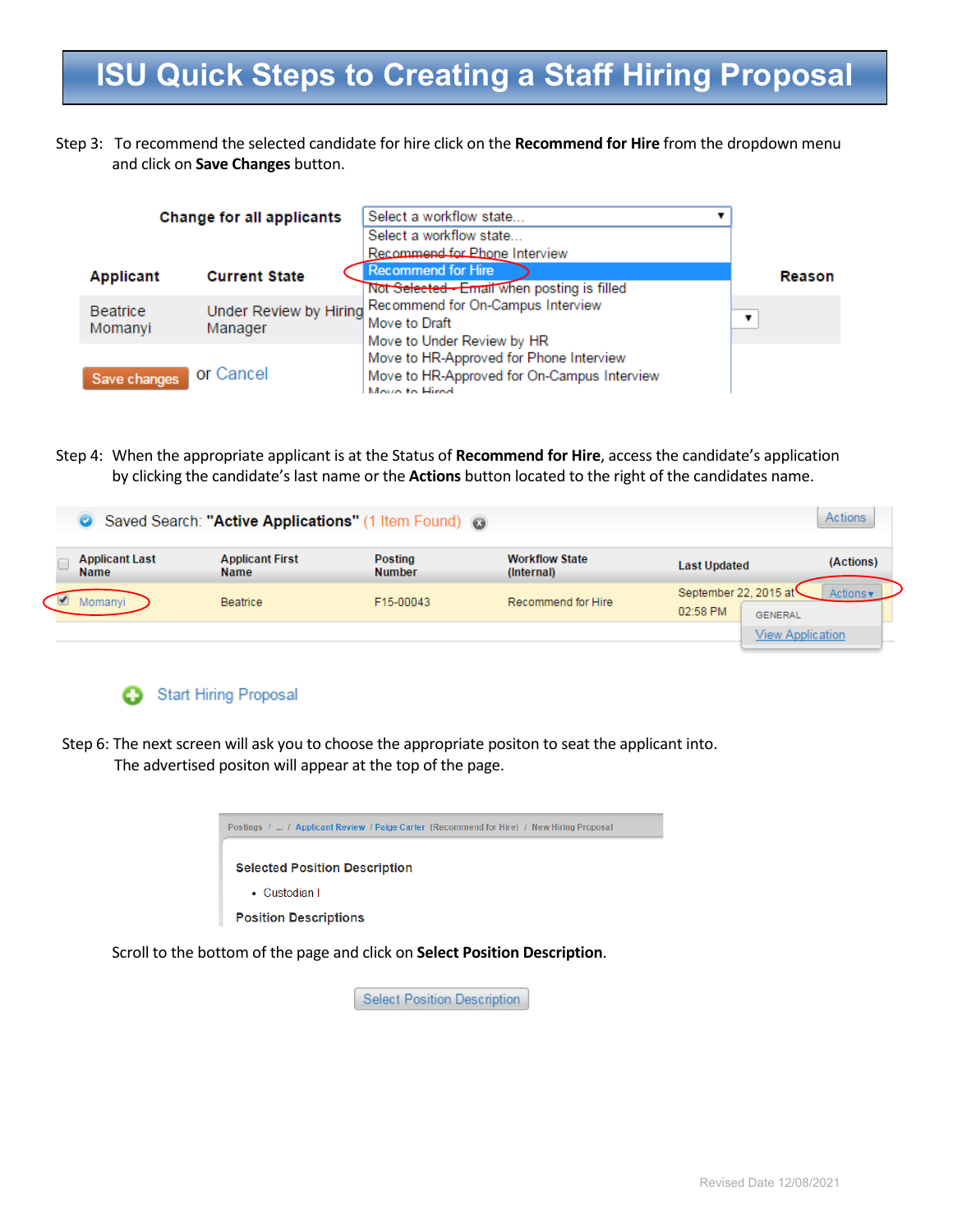Step 3: To recommend the selected candidate for hire click on the **Recommend for Hire** from the dropdown menu and click on **Save Changes** button.

|                  | Change for all applicants | Select a workflow state                                                                                 |        |
|------------------|---------------------------|---------------------------------------------------------------------------------------------------------|--------|
|                  |                           | Select a workflow state                                                                                 |        |
|                  |                           | Recommend for Phone Interview                                                                           |        |
| <b>Applicant</b> | <b>Current State</b>      | <b>Recommend for Hire</b>                                                                               | Reason |
|                  |                           | Not Selected - Email when posting is filled                                                             |        |
| <b>Beatrice</b>  |                           | Under Review by Hiring Recommend for On-Campus Interview                                                | ▼      |
| Momanyi          | Manager                   | Move to Draft                                                                                           |        |
|                  |                           | Move to Under Review by HR                                                                              |        |
|                  |                           |                                                                                                         |        |
|                  |                           |                                                                                                         |        |
| Save changes     | or Cancel                 | Move to HR-Approved for Phone Interview<br>Move to HR-Approved for On-Campus Interview<br>Move to Hirod |        |

Step 4: When the appropriate applicant is at the Status of **Recommend for Hire**, access the candidate's application by clicking the candidate's last name or the **Actions** button located to the right of the candidates name.

|                                      | Saved Search: "Active Applications" (1 Item Found) 3 |                                 |                                     |                                                     | Actions                 |
|--------------------------------------|------------------------------------------------------|---------------------------------|-------------------------------------|-----------------------------------------------------|-------------------------|
| <b>Applicant Last</b><br><b>Name</b> | <b>Applicant First</b><br><b>Name</b>                | <b>Posting</b><br><b>Number</b> | <b>Workflow State</b><br>(Internal) | <b>Last Updated</b>                                 | (Actions)               |
| Momanyi                              | Beatrice                                             | F15-00043                       | Recommend for Hire                  | September 22, 2015 at<br>02:58 PM<br><b>GENERAL</b> | <b>Actions</b>          |
|                                      |                                                      |                                 |                                     |                                                     | <b>View Application</b> |



Step 6: The next screen will ask you to choose the appropriate positon to seat the applicant into. The advertised positon will appear at the top of the page.



Scroll to the bottom of the page and click on **Select Position Description**.

**Select Position Description**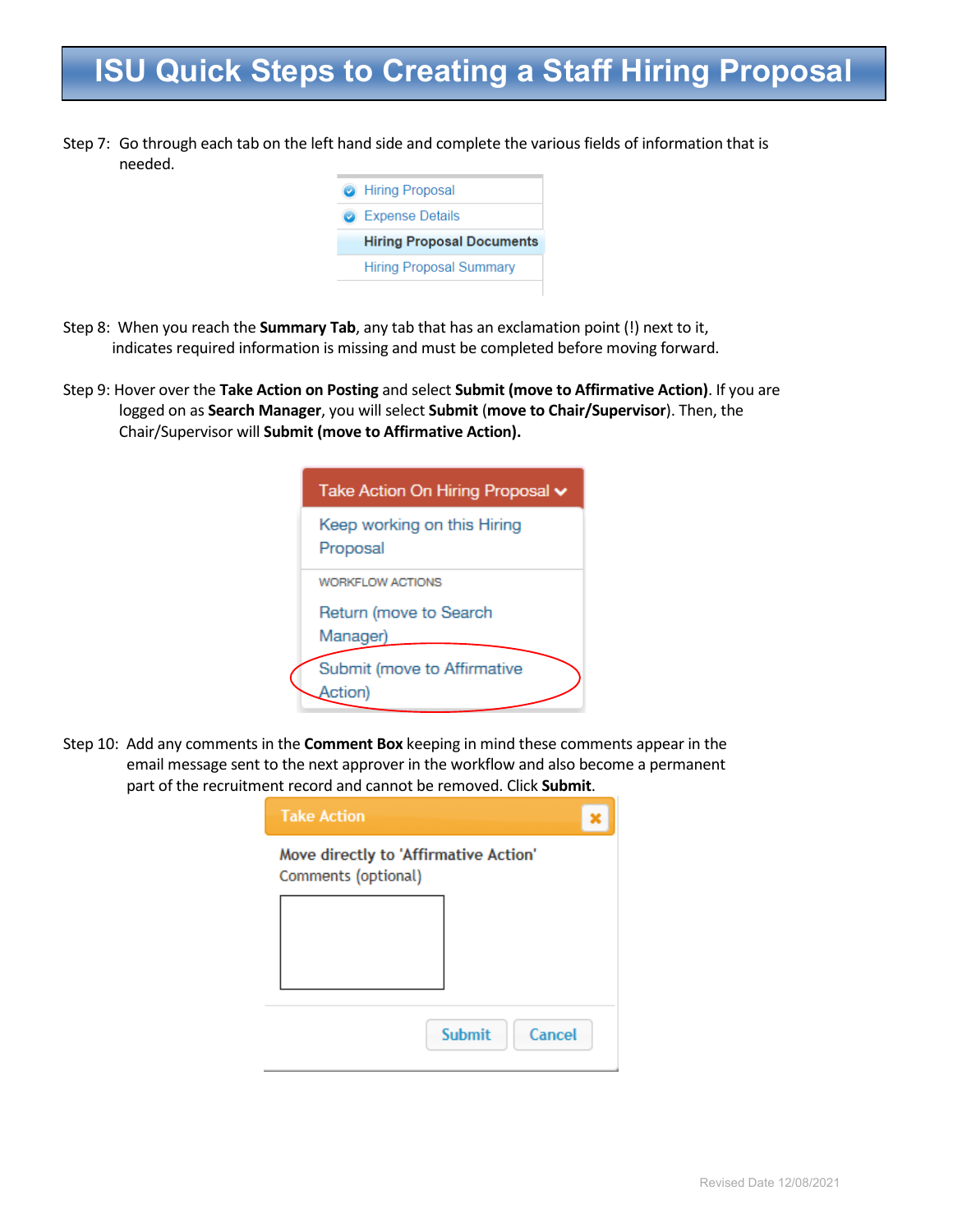Step 7: Go through each tab on the left hand side and complete the various fields of information that is needed.



- Step 8: When you reach the **Summary Tab**, any tab that has an exclamation point (!) next to it, indicates required information is missing and must be completed before moving forward.
- Step 9: Hover over the **Take Action on Posting** and select **Submit (move to Affirmative Action)**. If you are logged on as **Search Manager**, you will select **Submit** (**move to Chair/Supervisor**). Then, the Chair/Supervisor will **Submit (move to Affirmative Action).**

| Take Action On Hiring Proposal v        |
|-----------------------------------------|
| Keep working on this Hiring<br>Proposal |
| <b>WORKFLOW ACTIONS</b>                 |
| Return (move to Search                  |
| Manager)                                |
| Submit (move to Affirmative<br>Action)  |

Step 10: Add any comments in the **Comment Box** keeping in mind these comments appear in the email message sent to the next approver in the workflow and also become a permanent part of the recruitment record and cannot be removed. Click **Submit**.

| <b>Take Action</b>                                           |                         |
|--------------------------------------------------------------|-------------------------|
| Move directly to 'Affirmative Action'<br>Comments (optional) |                         |
|                                                              |                         |
|                                                              |                         |
|                                                              | <b>Submit</b><br>Cancel |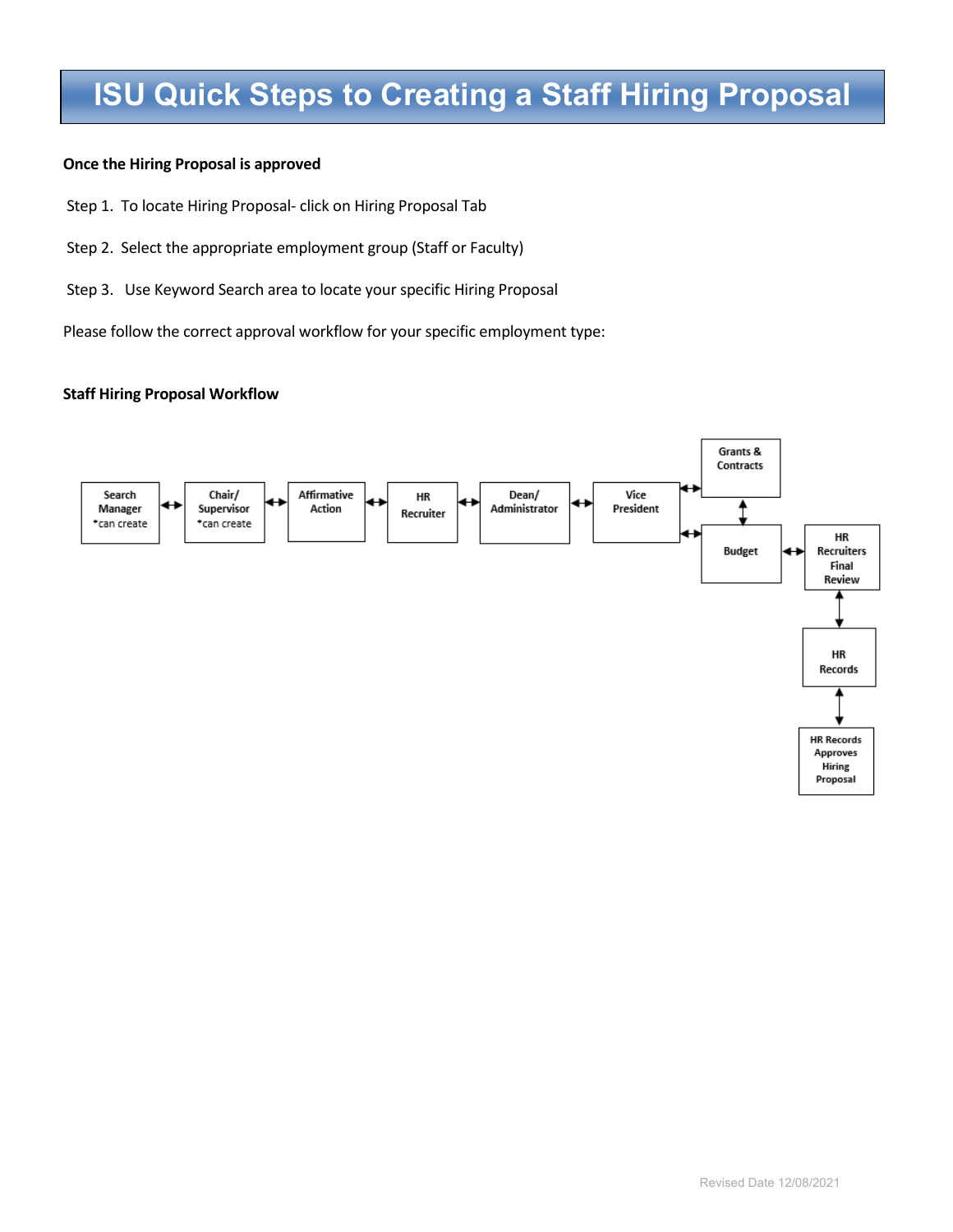#### **Once the Hiring Proposal is approved**

- Step 1. To locate Hiring Proposal- click on Hiring Proposal Tab
- Step 2. Select the appropriate employment group (Staff or Faculty)
- Step 3. Use Keyword Search area to locate your specific Hiring Proposal

Please follow the correct approval workflow for your specific employment type:

#### **Staff Hiring Proposal Workflow**

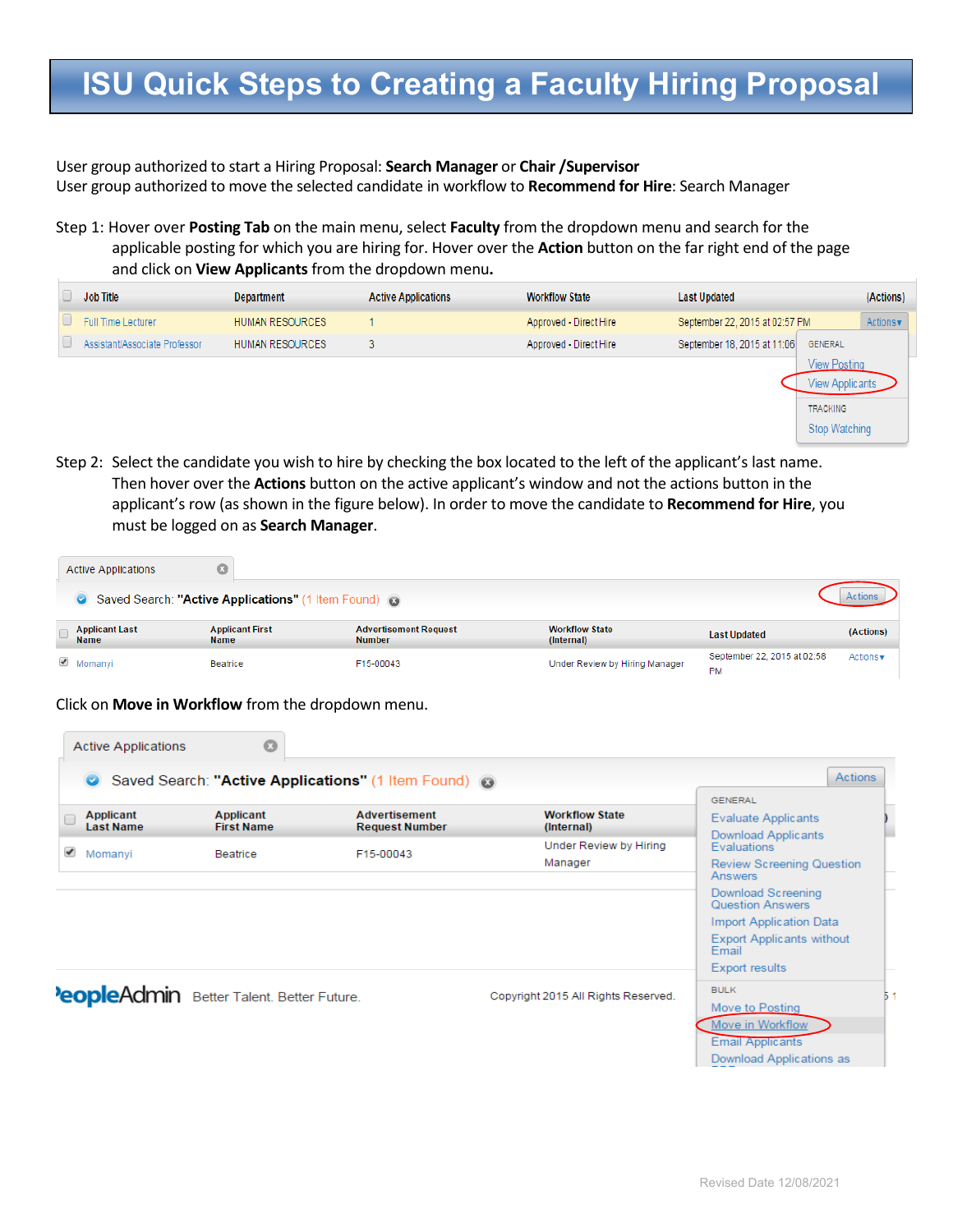User group authorized to start a Hiring Proposal: **Search Manager** or **Chair /Supervisor** User group authorized to move the selected candidate in workflow to **Recommend for Hire**: Search Manager

Step 1: Hover over **Posting Tab** on the main menu, select **Faculty** from the dropdown menu and search for the applicable posting for which you are hiring for. Hover over the **Action** button on the far right end of the page and click on **View Applicants** from the dropdown menu**.** 

| <b>Job Title</b>              | <b>Department</b>      | <b>Active Applications</b> | <b>Workflow State</b>  | <b>Last Updated</b>                           | (Actions) |
|-------------------------------|------------------------|----------------------------|------------------------|-----------------------------------------------|-----------|
| Full Time Lecturer            | <b>HUMAN RESOURCES</b> |                            | Approved - Direct Hire | September 22, 2015 at 02:57 PM                | Actions v |
| Assistant/Associate Professor | <b>HUMAN RESOURCES</b> |                            | Approved - Direct Hire | September 18, 2015 at 11:06<br><b>GENERAL</b> |           |
|                               |                        |                            |                        | View Postina                                  |           |
|                               |                        |                            |                        | View Applicants                               |           |
|                               |                        |                            |                        | <b>TRACKING</b>                               |           |

Step 2: Select the candidate you wish to hire by checking the box located to the left of the applicant's last name. Then hover over the **Actions** button on the active applicant's window and not the actions button in the applicant's row (as shown in the figure below). In order to move the candidate to **Recommend for Hire**, you must be logged on as **Search Manager**.

| <b>Active Applications</b>           |                                                      |                                               |                                     |                                          |                               |
|--------------------------------------|------------------------------------------------------|-----------------------------------------------|-------------------------------------|------------------------------------------|-------------------------------|
|                                      | Saved Search: "Active Applications" (1 Item Found) @ |                                               |                                     |                                          |                               |
| <b>Applicant Last</b><br><b>Name</b> | <b>Applicant First</b><br><b>Name</b>                | <b>Advertisement Request</b><br><b>Number</b> | <b>Workflow State</b><br>(Internal) | <b>Last Updated</b>                      | (Actions)                     |
| $\triangle$ Momanyi                  | Beatrice                                             | F15-00043                                     | Under Review by Hiring Manager      | September 22, 2015 at 02:58<br><b>PM</b> | Actions $\mathbf{\mathbf{v}}$ |

Click on **Move in Workflow** from the dropdown menu.

| <b>Active Applications</b>           | $\circ$                                   |                                                      |                                     |                                                    |
|--------------------------------------|-------------------------------------------|------------------------------------------------------|-------------------------------------|----------------------------------------------------|
| $\bullet$                            |                                           | Saved Search: "Active Applications" (1 Item Found) @ |                                     | <b>Actions</b>                                     |
| <b>Applicant</b><br><b>Last Name</b> | Applicant<br><b>First Name</b>            | <b>Advertisement</b><br><b>Request Number</b>        | <b>Workflow State</b><br>(Internal) | <b>GENERAL</b><br>Evaluate Applicants              |
| ✔<br>Momanyi                         | F15-00043<br>Beatrice                     |                                                      | Under Review by Hiring              | Download Applicants<br><b>Evaluations</b>          |
|                                      |                                           |                                                      | Manager                             | <b>Review Screening Question</b><br><b>Answers</b> |
|                                      |                                           |                                                      |                                     | Download Screening<br><b>Question Answers</b>      |
|                                      |                                           |                                                      |                                     | Import Application Data                            |
|                                      |                                           |                                                      |                                     | <b>Export Applicants without</b><br>Email          |
|                                      |                                           |                                                      |                                     | <b>Export results</b>                              |
|                                      | PeopleAdmin Better Talent. Better Future. |                                                      | Copyright 2015 All Rights Reserved. | <b>BULK</b>                                        |
|                                      |                                           |                                                      |                                     | Move to Posting                                    |
|                                      |                                           |                                                      |                                     | Move in Workflow                                   |
|                                      |                                           |                                                      |                                     | <b>Email Applicants</b>                            |
|                                      |                                           |                                                      |                                     | Download Applications as                           |

Stop Watching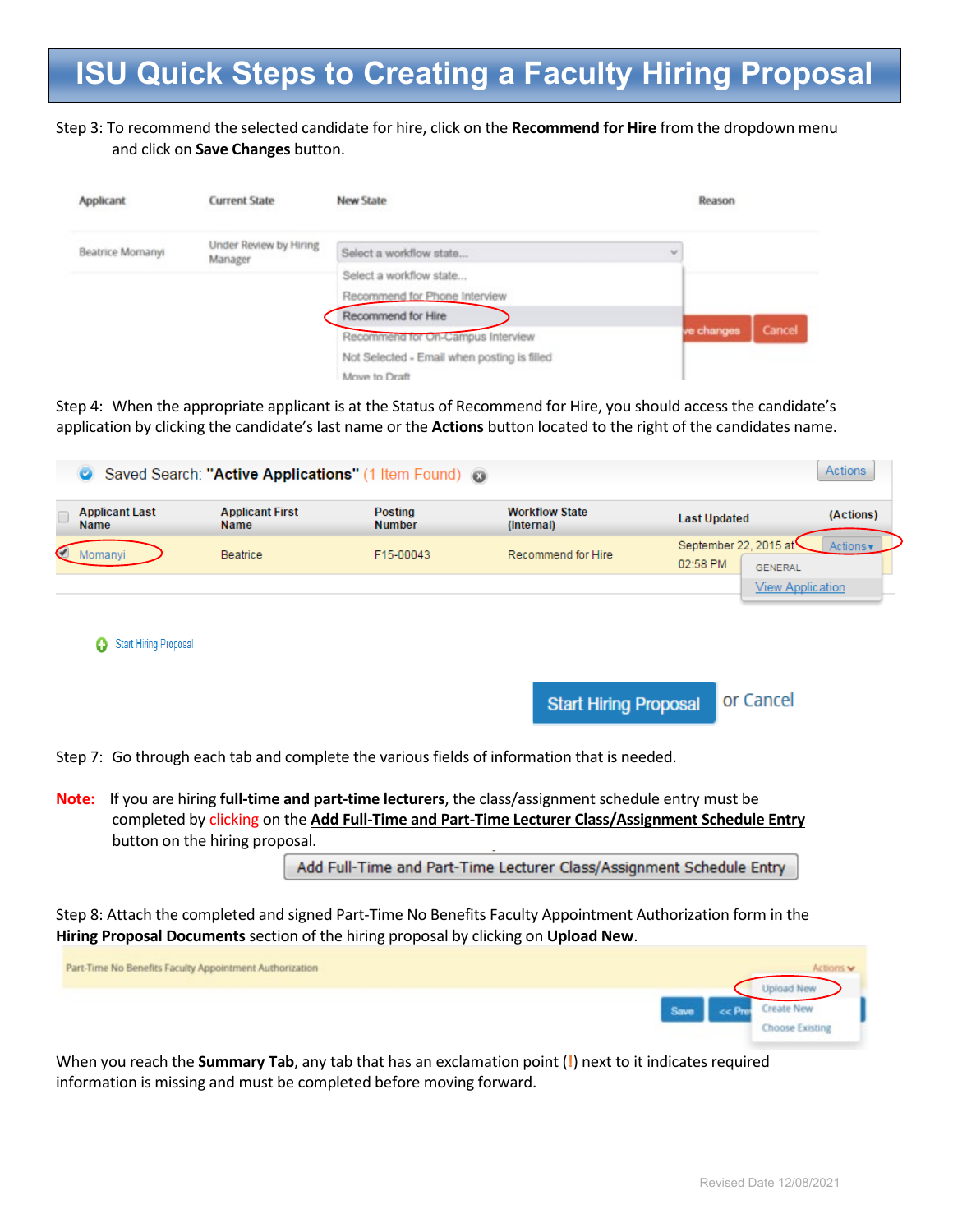#### Step 3: To recommend the selected candidate for hire, click on the **Recommend for Hire** from the dropdown menu and click on **Save Changes** button.

| Applicant        | <b>Current State</b>              | <b>New State</b>                            | Reason     |        |
|------------------|-----------------------------------|---------------------------------------------|------------|--------|
| Beatrice Momanyi | Under Review by Hiring<br>Manager | Select a workflow state                     | $\sim$     |        |
|                  |                                   | Select a workflow state                     |            |        |
|                  |                                   | Recommend for Phone Interview               |            |        |
|                  |                                   | Recommend for Hire                          |            |        |
|                  |                                   | Recommend for On-Campus Interview           | ve changes | Cancel |
|                  |                                   | Not Selected - Email when posting is filled |            |        |
|                  |                                   | Move to Draft                               |            |        |

Step 4: When the appropriate applicant is at the Status of Recommend for Hire, you should access the candidate's application by clicking the candidate's last name or the **Actions** button located to the right of the candidates name.

| <b>COL</b>                           | Saved Search: "Active Applications" (1 Item Found) @ |                          |                                     |                                                     | <b>Actions</b>          |
|--------------------------------------|------------------------------------------------------|--------------------------|-------------------------------------|-----------------------------------------------------|-------------------------|
| <b>Applicant Last</b><br><b>Name</b> | <b>Applicant First</b><br><b>Name</b>                | Posting<br><b>Number</b> | <b>Workflow State</b><br>(Internal) | <b>Last Updated</b>                                 | (Actions)               |
| Momanyi                              | Beatrice                                             | F15-00043                | Recommend for Hire                  | September 22, 2015 at<br>02:58 PM<br><b>GENERAL</b> | Actions v               |
|                                      |                                                      |                          |                                     |                                                     | <b>View Application</b> |

```
Start Hiring Proposal
```
or Cancel **Start Hiring Proposal** 

Step 7: Go through each tab and complete the various fields of information that is needed.

**Note:** If you are hiring **full-time and part-time lecturers**, the class/assignment schedule entry must be completed by clicking on the **Add Full-Time and Part-Time Lecturer Class/Assignment Schedule Entry** button on the hiring proposal.

Add Full-Time and Part-Time Lecturer Class/Assignment Schedule Entry

Step 8: Attach the completed and signed Part-Time No Benefits Faculty Appointment Authorization form in the **Hiring Proposal Documents** section of the hiring proposal by clicking on **Upload New**.

Part-Time No Benefits Faculty Appointment Authorization



When you reach the **Summary Tab**, any tab that has an exclamation point (**!**) next to it indicates required information is missing and must be completed before moving forward.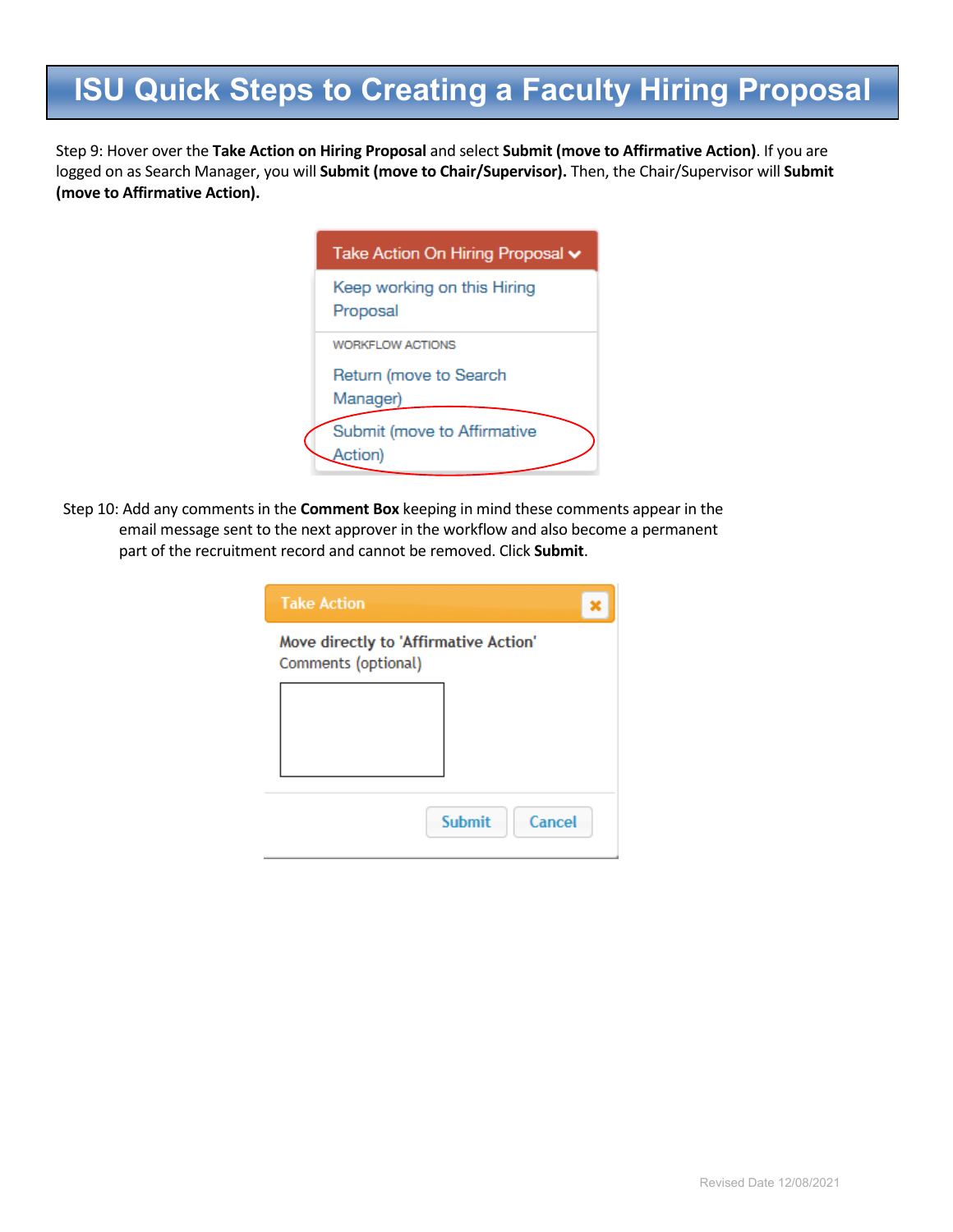Step 9: Hover over the **Take Action on Hiring Proposal** and select **Submit (move to Affirmative Action)**. If you are logged on as Search Manager, you will **Submit (move to Chair/Supervisor).** Then, the Chair/Supervisor will **Submit (move to Affirmative Action).** 

| Take Action On Hiring Proposal v        |
|-----------------------------------------|
| Keep working on this Hiring<br>Proposal |
| <b>WORKFLOW ACTIONS</b>                 |
| Return (move to Search<br>Manager)      |
| Submit (move to Affirmative<br>Action)  |

Step 10: Add any comments in the **Comment Box** keeping in mind these comments appear in the email message sent to the next approver in the workflow and also become a permanent part of the recruitment record and cannot be removed. Click **Submit**.

| <b>Take Action</b>  |                                       |
|---------------------|---------------------------------------|
| Comments (optional) | Move directly to 'Affirmative Action' |
|                     |                                       |
|                     |                                       |
|                     | <b>Submit</b><br>Cancel               |